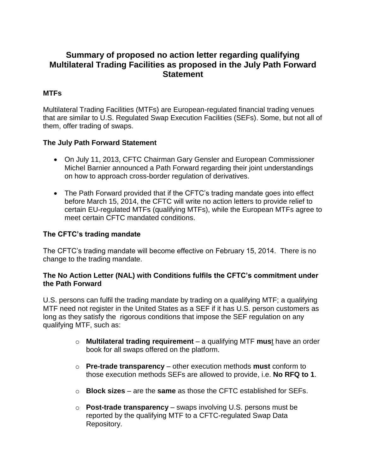# **Summary of proposed no action letter regarding qualifying Multilateral Trading Facilities as proposed in the July Path Forward Statement**

## **MTFs**

Multilateral Trading Facilities (MTFs) are European-regulated financial trading venues that are similar to U.S. Regulated Swap Execution Facilities (SEFs). Some, but not all of them, offer trading of swaps.

### **The July Path Forward Statement**

- On July 11, 2013, CFTC Chairman Gary Gensler and European Commissioner Michel Barnier announced a Path Forward regarding their joint understandings on how to approach cross-border regulation of derivatives.
- The Path Forward provided that if the CFTC's trading mandate goes into effect before March 15, 2014, the CFTC will write no action letters to provide relief to certain EU-regulated MTFs (qualifying MTFs), while the European MTFs agree to meet certain CFTC mandated conditions.

#### **The CFTC's trading mandate**

The CFTC's trading mandate will become effective on February 15, 2014. There is no change to the trading mandate.

#### **The No Action Letter (NAL) with Conditions fulfils the CFTC's commitment under the Path Forward**

U.S. persons can fulfil the trading mandate by trading on a qualifying MTF; a qualifying MTF need not register in the United States as a SEF if it has U.S. person customers as long as they satisfy the rigorous conditions that impose the SEF regulation on any qualifying MTF, such as:

- o **Multilateral trading requirement** a qualifying MTF **mus**t have an order book for all swaps offered on the platform.
- o **Pre-trade transparency** other execution methods **must** conform to those execution methods SEFs are allowed to provide, i.e. **No RFQ to 1**.
- o **Block sizes** are the **same** as those the CFTC established for SEFs.
- o **Post-trade transparency** swaps involving U.S. persons must be reported by the qualifying MTF to a CFTC-regulated Swap Data Repository.